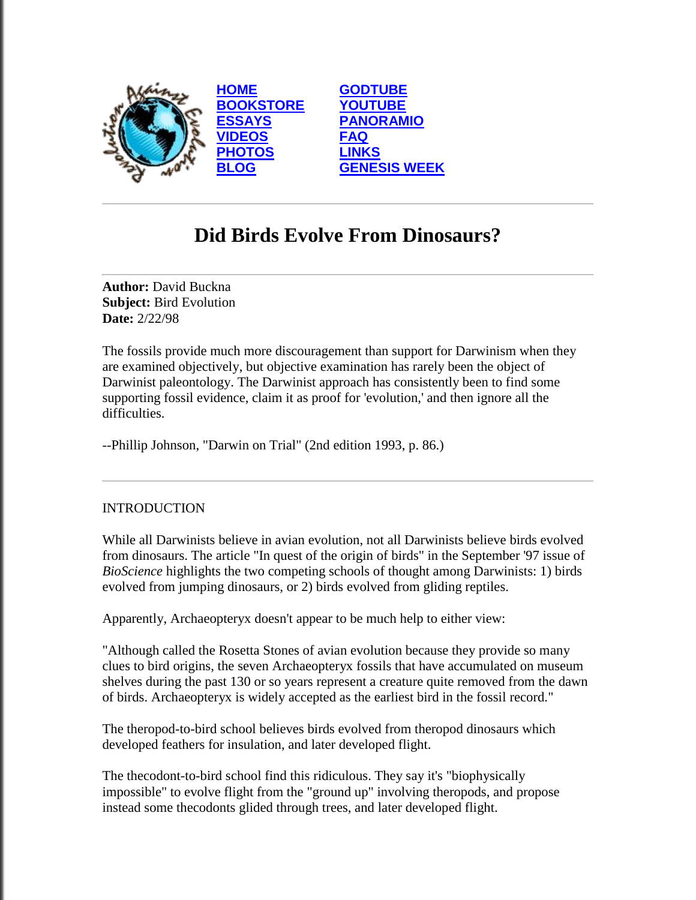

# **Did Birds Evolve From Dinosaurs?**

**Author:** David Buckna **Subject:** Bird Evolution **Date:** 2/22/98

The fossils provide much more discouragement than support for Darwinism when they are examined objectively, but objective examination has rarely been the object of Darwinist paleontology. The Darwinist approach has consistently been to find some supporting fossil evidence, claim it as proof for 'evolution,' and then ignore all the difficulties.

--Phillip Johnson, "Darwin on Trial" (2nd edition 1993, p. 86.)

# **INTRODUCTION**

While all Darwinists believe in avian evolution, not all Darwinists believe birds evolved from dinosaurs. The article "In quest of the origin of birds" in the September '97 issue of *BioScience* highlights the two competing schools of thought among Darwinists: 1) birds evolved from jumping dinosaurs, or 2) birds evolved from gliding reptiles.

Apparently, Archaeopteryx doesn't appear to be much help to either view:

"Although called the Rosetta Stones of avian evolution because they provide so many clues to bird origins, the seven Archaeopteryx fossils that have accumulated on museum shelves during the past 130 or so years represent a creature quite removed from the dawn of birds. Archaeopteryx is widely accepted as the earliest bird in the fossil record."

The theropod-to-bird school believes birds evolved from theropod dinosaurs which developed feathers for insulation, and later developed flight.

The thecodont-to-bird school find this ridiculous. They say it's "biophysically impossible" to evolve flight from the "ground up" involving theropods, and propose instead some thecodonts glided through trees, and later developed flight.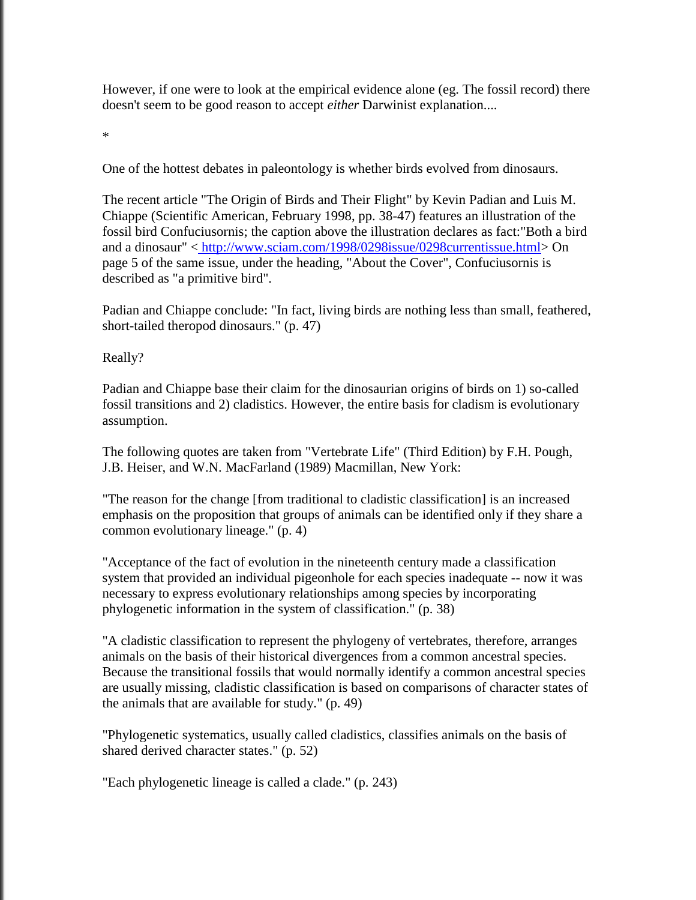However, if one were to look at the empirical evidence alone (eg. The fossil record) there doesn't seem to be good reason to accept *either* Darwinist explanation....

\*

One of the hottest debates in paleontology is whether birds evolved from dinosaurs.

The recent article "The Origin of Birds and Their Flight" by Kevin Padian and Luis M. Chiappe (Scientific American, February 1998, pp. 38-47) features an illustration of the fossil bird Confuciusornis; the caption above the illustration declares as fact:"Both a bird and a dinosaur" < [http://www.sciam.com/1998/0298issue/0298currentissue.html>](http://www.sciam.com/1998/0298issue/0298currentissue.html) On page 5 of the same issue, under the heading, "About the Cover", Confuciusornis is described as "a primitive bird".

Padian and Chiappe conclude: "In fact, living birds are nothing less than small, feathered, short-tailed theropod dinosaurs." (p. 47)

Really?

Padian and Chiappe base their claim for the dinosaurian origins of birds on 1) so-called fossil transitions and 2) cladistics. However, the entire basis for cladism is evolutionary assumption.

The following quotes are taken from "Vertebrate Life" (Third Edition) by F.H. Pough, J.B. Heiser, and W.N. MacFarland (1989) Macmillan, New York:

"The reason for the change [from traditional to cladistic classification] is an increased emphasis on the proposition that groups of animals can be identified only if they share a common evolutionary lineage." (p. 4)

"Acceptance of the fact of evolution in the nineteenth century made a classification system that provided an individual pigeonhole for each species inadequate -- now it was necessary to express evolutionary relationships among species by incorporating phylogenetic information in the system of classification." (p. 38)

"A cladistic classification to represent the phylogeny of vertebrates, therefore, arranges animals on the basis of their historical divergences from a common ancestral species. Because the transitional fossils that would normally identify a common ancestral species are usually missing, cladistic classification is based on comparisons of character states of the animals that are available for study." (p. 49)

"Phylogenetic systematics, usually called cladistics, classifies animals on the basis of shared derived character states." (p. 52)

"Each phylogenetic lineage is called a clade." (p. 243)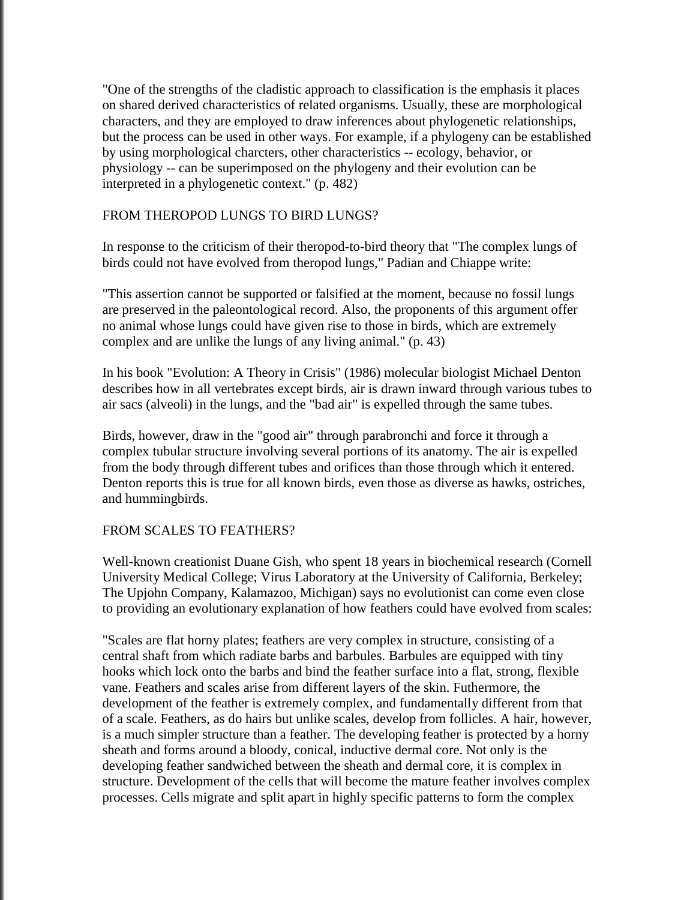"One of the strengths of the cladistic approach to classification is the emphasis it places on shared derived characteristics of related organisms. Usually, these are morphological characters, and they are employed to draw inferences about phylogenetic relationships, but the process can be used in other ways. For example, if a phylogeny can be established by using morphological charcters, other characteristics -- ecology, behavior, or physiology -- can be superimposed on the phylogeny and their evolution can be interpreted in a phylogenetic context." (p. 482)

## FROM THEROPOD LUNGS TO BIRD LUNGS?

In response to the criticism of their theropod-to-bird theory that "The complex lungs of birds could not have evolved from theropod lungs," Padian and Chiappe write:

"This assertion cannot be supported or falsified at the moment, because no fossil lungs are preserved in the paleontological record. Also, the proponents of this argument offer no animal whose lungs could have given rise to those in birds, which are extremely complex and are unlike the lungs of any living animal." (p. 43)

In his book "Evolution: A Theory in Crisis" (1986) molecular biologist Michael Denton describes how in all vertebrates except birds, air is drawn inward through various tubes to air sacs (alveoli) in the lungs, and the "bad air" is expelled through the same tubes.

Birds, however, draw in the "good air" through parabronchi and force it through a complex tubular structure involving several portions of its anatomy. The air is expelled from the body through different tubes and orifices than those through which it entered. Denton reports this is true for all known birds, even those as diverse as hawks, ostriches, and hummingbirds.

#### FROM SCALES TO FEATHERS?

Well-known creationist Duane Gish, who spent 18 years in biochemical research (Cornell University Medical College; Virus Laboratory at the University of California, Berkeley; The Upjohn Company, Kalamazoo, Michigan) says no evolutionist can come even close to providing an evolutionary explanation of how feathers could have evolved from scales:

"Scales are flat horny plates; feathers are very complex in structure, consisting of a central shaft from which radiate barbs and barbules. Barbules are equipped with tiny hooks which lock onto the barbs and bind the feather surface into a flat, strong, flexible vane. Feathers and scales arise from different layers of the skin. Futhermore, the development of the feather is extremely complex, and fundamentally different from that of a scale. Feathers, as do hairs but unlike scales, develop from follicles. A hair, however, is a much simpler structure than a feather. The developing feather is protected by a horny sheath and forms around a bloody, conical, inductive dermal core. Not only is the developing feather sandwiched between the sheath and dermal core, it is complex in structure. Development of the cells that will become the mature feather involves complex processes. Cells migrate and split apart in highly specific patterns to form the complex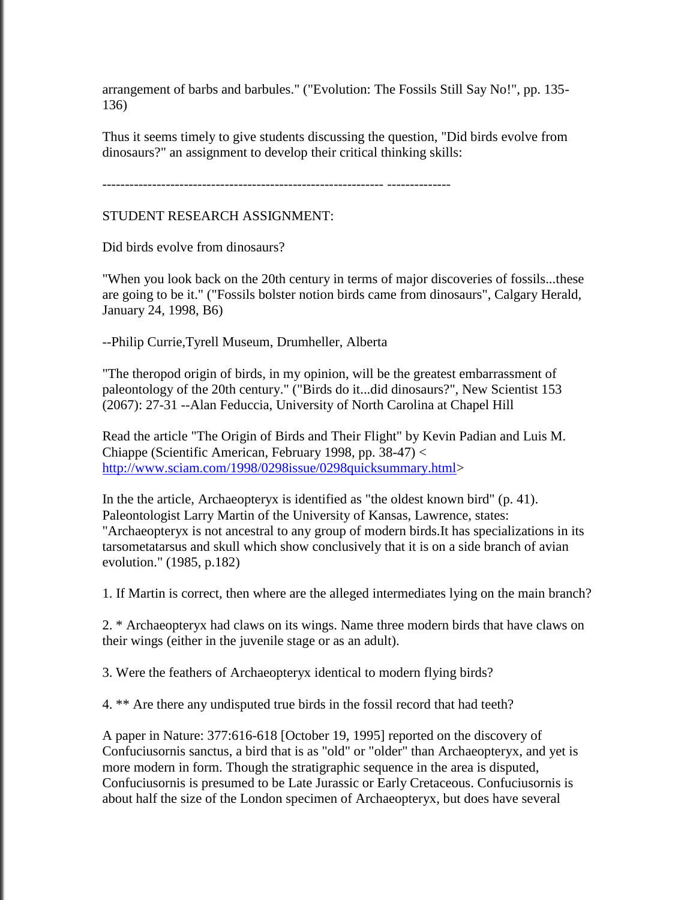arrangement of barbs and barbules." ("Evolution: The Fossils Still Say No!", pp. 135- 136)

Thus it seems timely to give students discussing the question, "Did birds evolve from dinosaurs?" an assignment to develop their critical thinking skills:

-------------------------------------------------------------- --------------

## STUDENT RESEARCH ASSIGNMENT:

Did birds evolve from dinosaurs?

"When you look back on the 20th century in terms of major discoveries of fossils...these are going to be it." ("Fossils bolster notion birds came from dinosaurs", Calgary Herald, January 24, 1998, B6)

--Philip Currie,Tyrell Museum, Drumheller, Alberta

"The theropod origin of birds, in my opinion, will be the greatest embarrassment of paleontology of the 20th century." ("Birds do it...did dinosaurs?", New Scientist 153 (2067): 27-31 --Alan Feduccia, University of North Carolina at Chapel Hill

Read the article "The Origin of Birds and Their Flight" by Kevin Padian and Luis M. Chiappe (Scientific American, February 1998, pp. 38-47) [<](http://www.sciam.com/1998/0298issue/0298quicksummary.html) [http://www.sciam.com/1998/0298issue/0298quicksummary.html>](http://www.sciam.com/1998/0298issue/0298quicksummary.html)

In the the article, Archaeopteryx is identified as "the oldest known bird" (p. 41). Paleontologist Larry Martin of the University of Kansas, Lawrence, states: "Archaeopteryx is not ancestral to any group of modern birds.It has specializations in its tarsometatarsus and skull which show conclusively that it is on a side branch of avian evolution." (1985, p.182)

1. If Martin is correct, then where are the alleged intermediates lying on the main branch?

2. \* Archaeopteryx had claws on its wings. Name three modern birds that have claws on their wings (either in the juvenile stage or as an adult).

3. Were the feathers of Archaeopteryx identical to modern flying birds?

4. \*\* Are there any undisputed true birds in the fossil record that had teeth?

A paper in Nature: 377:616-618 [October 19, 1995] reported on the discovery of Confuciusornis sanctus, a bird that is as "old" or "older" than Archaeopteryx, and yet is more modern in form. Though the stratigraphic sequence in the area is disputed, Confuciusornis is presumed to be Late Jurassic or Early Cretaceous. Confuciusornis is about half the size of the London specimen of Archaeopteryx, but does have several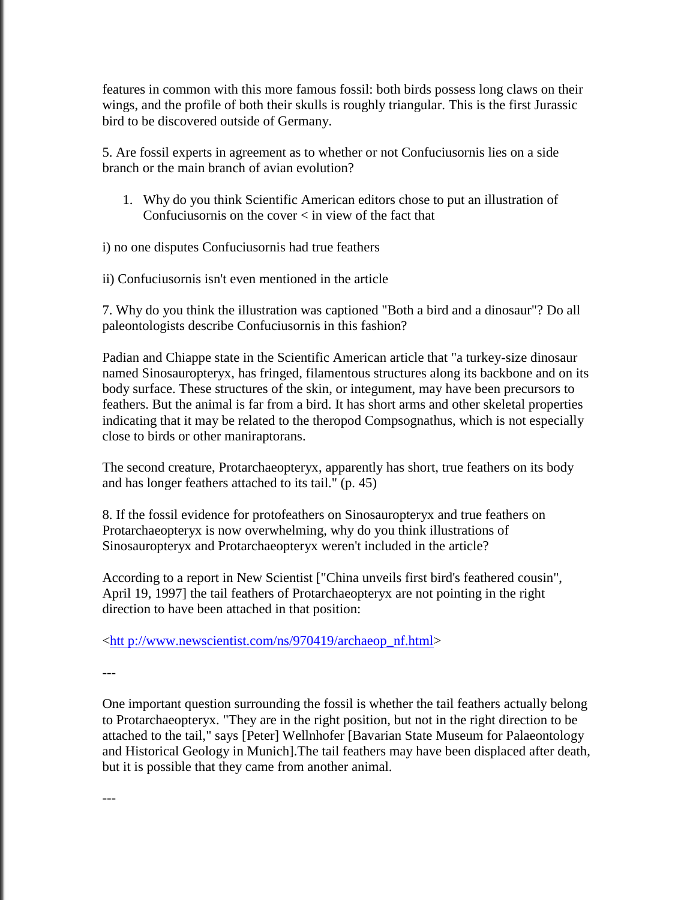features in common with this more famous fossil: both birds possess long claws on their wings, and the profile of both their skulls is roughly triangular. This is the first Jurassic bird to be discovered outside of Germany.

5. Are fossil experts in agreement as to whether or not Confuciusornis lies on a side branch or the main branch of avian evolution?

1. Why do you think Scientific American editors chose to put an illustration of Confuciusornis on the cover < in view of the fact that

i) no one disputes Confuciusornis had true feathers

ii) Confuciusornis isn't even mentioned in the article

7. Why do you think the illustration was captioned "Both a bird and a dinosaur"? Do all paleontologists describe Confuciusornis in this fashion?

Padian and Chiappe state in the Scientific American article that "a turkey-size dinosaur named Sinosauropteryx, has fringed, filamentous structures along its backbone and on its body surface. These structures of the skin, or integument, may have been precursors to feathers. But the animal is far from a bird. It has short arms and other skeletal properties indicating that it may be related to the theropod Compsognathus, which is not especially close to birds or other maniraptorans.

The second creature, Protarchaeopteryx, apparently has short, true feathers on its body and has longer feathers attached to its tail." (p. 45)

8. If the fossil evidence for protofeathers on Sinosauropteryx and true feathers on Protarchaeopteryx is now overwhelming, why do you think illustrations of Sinosauropteryx and Protarchaeopteryx weren't included in the article?

According to a report in New Scientist ["China unveils first bird's feathered cousin", April 19, 1997] the tail feathers of Protarchaeopteryx are not pointing in the right direction to have been attached in that position:

[<htt p://www.newscientist.com/ns/970419/archaeop\\_nf.html>](http://www.newscientist.com/ns/970419/archaeop_nf.html)

---

One important question surrounding the fossil is whether the tail feathers actually belong to Protarchaeopteryx. "They are in the right position, but not in the right direction to be attached to the tail," says [Peter] Wellnhofer [Bavarian State Museum for Palaeontology and Historical Geology in Munich].The tail feathers may have been displaced after death, but it is possible that they came from another animal.

---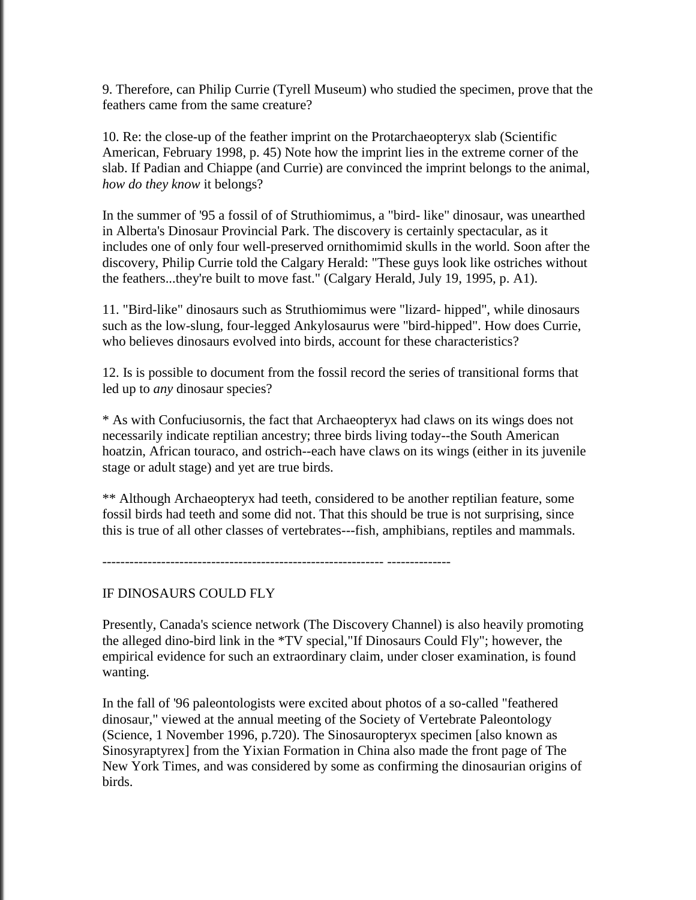9. Therefore, can Philip Currie (Tyrell Museum) who studied the specimen, prove that the feathers came from the same creature?

10. Re: the close-up of the feather imprint on the Protarchaeopteryx slab (Scientific American, February 1998, p. 45) Note how the imprint lies in the extreme corner of the slab. If Padian and Chiappe (and Currie) are convinced the imprint belongs to the animal, *how do they know* it belongs?

In the summer of '95 a fossil of of Struthiomimus, a "bird- like" dinosaur, was unearthed in Alberta's Dinosaur Provincial Park. The discovery is certainly spectacular, as it includes one of only four well-preserved ornithomimid skulls in the world. Soon after the discovery, Philip Currie told the Calgary Herald: "These guys look like ostriches without the feathers...they're built to move fast." (Calgary Herald, July 19, 1995, p. A1).

11. "Bird-like" dinosaurs such as Struthiomimus were "lizard- hipped", while dinosaurs such as the low-slung, four-legged Ankylosaurus were "bird-hipped". How does Currie, who believes dinosaurs evolved into birds, account for these characteristics?

12. Is is possible to document from the fossil record the series of transitional forms that led up to *any* dinosaur species?

\* As with Confuciusornis, the fact that Archaeopteryx had claws on its wings does not necessarily indicate reptilian ancestry; three birds living today--the South American hoatzin, African touraco, and ostrich--each have claws on its wings (either in its juvenile stage or adult stage) and yet are true birds.

\*\* Although Archaeopteryx had teeth, considered to be another reptilian feature, some fossil birds had teeth and some did not. That this should be true is not surprising, since this is true of all other classes of vertebrates---fish, amphibians, reptiles and mammals.

-------------------------------------------------------------- --------------

### IF DINOSAURS COULD FLY

Presently, Canada's science network (The Discovery Channel) is also heavily promoting the alleged dino-bird link in the \*TV special,"If Dinosaurs Could Fly"; however, the empirical evidence for such an extraordinary claim, under closer examination, is found wanting.

In the fall of '96 paleontologists were excited about photos of a so-called "feathered dinosaur," viewed at the annual meeting of the Society of Vertebrate Paleontology (Science, 1 November 1996, p.720). The Sinosauropteryx specimen [also known as Sinosyraptyrex] from the Yixian Formation in China also made the front page of The New York Times, and was considered by some as confirming the dinosaurian origins of birds.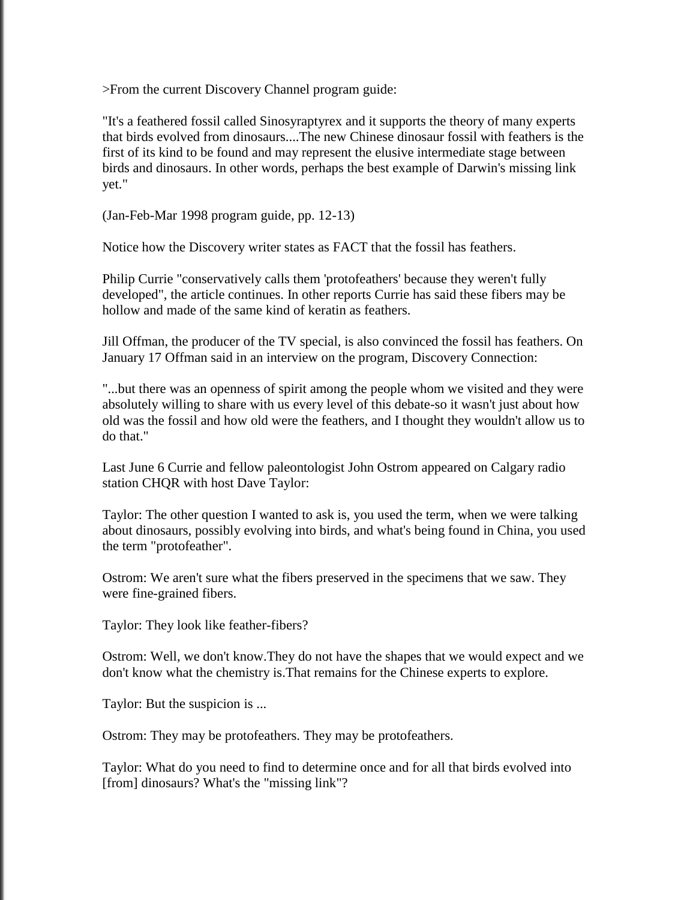>From the current Discovery Channel program guide:

"It's a feathered fossil called Sinosyraptyrex and it supports the theory of many experts that birds evolved from dinosaurs....The new Chinese dinosaur fossil with feathers is the first of its kind to be found and may represent the elusive intermediate stage between birds and dinosaurs. In other words, perhaps the best example of Darwin's missing link yet."

(Jan-Feb-Mar 1998 program guide, pp. 12-13)

Notice how the Discovery writer states as FACT that the fossil has feathers.

Philip Currie "conservatively calls them 'protofeathers' because they weren't fully developed", the article continues. In other reports Currie has said these fibers may be hollow and made of the same kind of keratin as feathers.

Jill Offman, the producer of the TV special, is also convinced the fossil has feathers. On January 17 Offman said in an interview on the program, Discovery Connection:

"...but there was an openness of spirit among the people whom we visited and they were absolutely willing to share with us every level of this debate-so it wasn't just about how old was the fossil and how old were the feathers, and I thought they wouldn't allow us to do that."

Last June 6 Currie and fellow paleontologist John Ostrom appeared on Calgary radio station CHQR with host Dave Taylor:

Taylor: The other question I wanted to ask is, you used the term, when we were talking about dinosaurs, possibly evolving into birds, and what's being found in China, you used the term "protofeather".

Ostrom: We aren't sure what the fibers preserved in the specimens that we saw. They were fine-grained fibers.

Taylor: They look like feather-fibers?

Ostrom: Well, we don't know.They do not have the shapes that we would expect and we don't know what the chemistry is.That remains for the Chinese experts to explore.

Taylor: But the suspicion is ...

Ostrom: They may be protofeathers. They may be protofeathers.

Taylor: What do you need to find to determine once and for all that birds evolved into [from] dinosaurs? What's the "missing link"?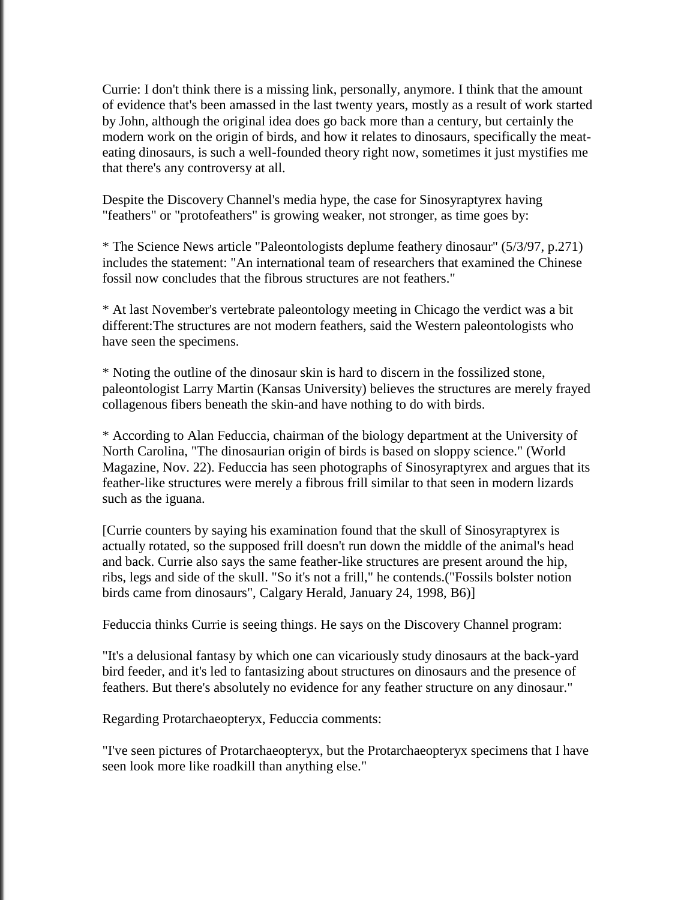Currie: I don't think there is a missing link, personally, anymore. I think that the amount of evidence that's been amassed in the last twenty years, mostly as a result of work started by John, although the original idea does go back more than a century, but certainly the modern work on the origin of birds, and how it relates to dinosaurs, specifically the meateating dinosaurs, is such a well-founded theory right now, sometimes it just mystifies me that there's any controversy at all.

Despite the Discovery Channel's media hype, the case for Sinosyraptyrex having "feathers" or "protofeathers" is growing weaker, not stronger, as time goes by:

\* The Science News article "Paleontologists deplume feathery dinosaur" (5/3/97, p.271) includes the statement: "An international team of researchers that examined the Chinese fossil now concludes that the fibrous structures are not feathers."

\* At last November's vertebrate paleontology meeting in Chicago the verdict was a bit different:The structures are not modern feathers, said the Western paleontologists who have seen the specimens.

\* Noting the outline of the dinosaur skin is hard to discern in the fossilized stone, paleontologist Larry Martin (Kansas University) believes the structures are merely frayed collagenous fibers beneath the skin-and have nothing to do with birds.

\* According to Alan Feduccia, chairman of the biology department at the University of North Carolina, "The dinosaurian origin of birds is based on sloppy science." (World Magazine, Nov. 22). Feduccia has seen photographs of Sinosyraptyrex and argues that its feather-like structures were merely a fibrous frill similar to that seen in modern lizards such as the iguana.

[Currie counters by saying his examination found that the skull of Sinosyraptyrex is actually rotated, so the supposed frill doesn't run down the middle of the animal's head and back. Currie also says the same feather-like structures are present around the hip, ribs, legs and side of the skull. "So it's not a frill," he contends.("Fossils bolster notion birds came from dinosaurs", Calgary Herald, January 24, 1998, B6)]

Feduccia thinks Currie is seeing things. He says on the Discovery Channel program:

"It's a delusional fantasy by which one can vicariously study dinosaurs at the back-yard bird feeder, and it's led to fantasizing about structures on dinosaurs and the presence of feathers. But there's absolutely no evidence for any feather structure on any dinosaur."

Regarding Protarchaeopteryx, Feduccia comments:

"I've seen pictures of Protarchaeopteryx, but the Protarchaeopteryx specimens that I have seen look more like roadkill than anything else."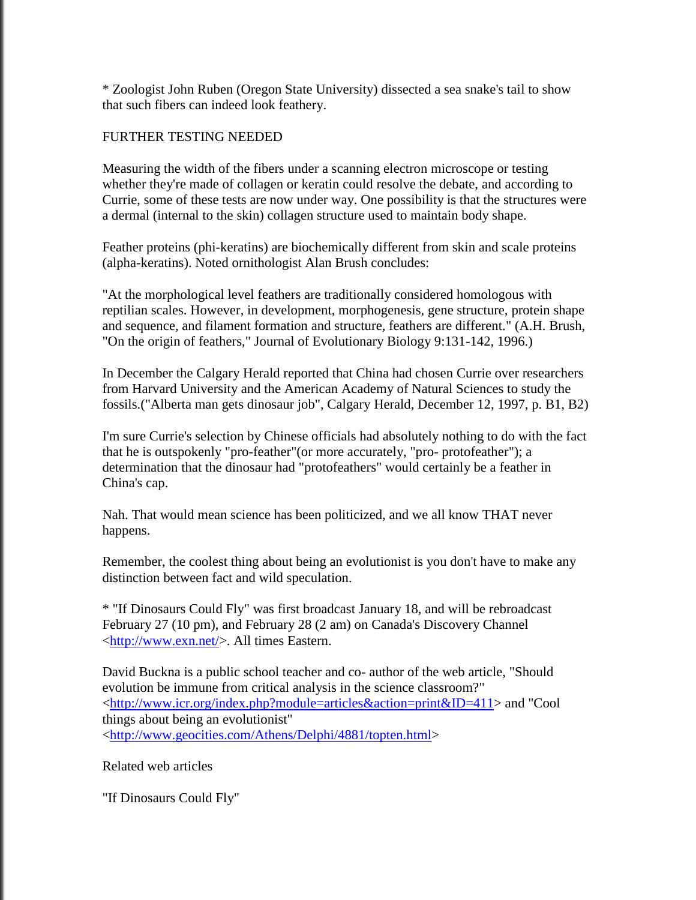\* Zoologist John Ruben (Oregon State University) dissected a sea snake's tail to show that such fibers can indeed look feathery.

## FURTHER TESTING NEEDED

Measuring the width of the fibers under a scanning electron microscope or testing whether they're made of collagen or keratin could resolve the debate, and according to Currie, some of these tests are now under way. One possibility is that the structures were a dermal (internal to the skin) collagen structure used to maintain body shape.

Feather proteins (phi-keratins) are biochemically different from skin and scale proteins (alpha-keratins). Noted ornithologist Alan Brush concludes:

"At the morphological level feathers are traditionally considered homologous with reptilian scales. However, in development, morphogenesis, gene structure, protein shape and sequence, and filament formation and structure, feathers are different." (A.H. Brush, "On the origin of feathers," Journal of Evolutionary Biology 9:131-142, 1996.)

In December the Calgary Herald reported that China had chosen Currie over researchers from Harvard University and the American Academy of Natural Sciences to study the fossils.("Alberta man gets dinosaur job", Calgary Herald, December 12, 1997, p. B1, B2)

I'm sure Currie's selection by Chinese officials had absolutely nothing to do with the fact that he is outspokenly "pro-feather"(or more accurately, "pro- protofeather"); a determination that the dinosaur had "protofeathers" would certainly be a feather in China's cap.

Nah. That would mean science has been politicized, and we all know THAT never happens.

Remember, the coolest thing about being an evolutionist is you don't have to make any distinction between fact and wild speculation.

\* "If Dinosaurs Could Fly" was first broadcast January 18, and will be rebroadcast February 27 (10 pm), and February 28 (2 am) on Canada's Discovery Channel [<http://www.exn.net/>](http://www.exn.net/). All times Eastern.

David Buckna is a public school teacher and co- author of the web article, "Should evolution be immune from critical analysis in the science classroom?" [<http://www.icr.org/index.php?module=articles&action=print&ID=411>](http://www.icr.org/index.php?module=articles&action=print&ID=411) and "Cool things about being an evolutionist" [<http://www.geocities.com/Athens/Delphi/4881/topten.html>](http://www.geocities.com/Athens/Delphi/4881/topten.html)

Related web articles

"If Dinosaurs Could Fly"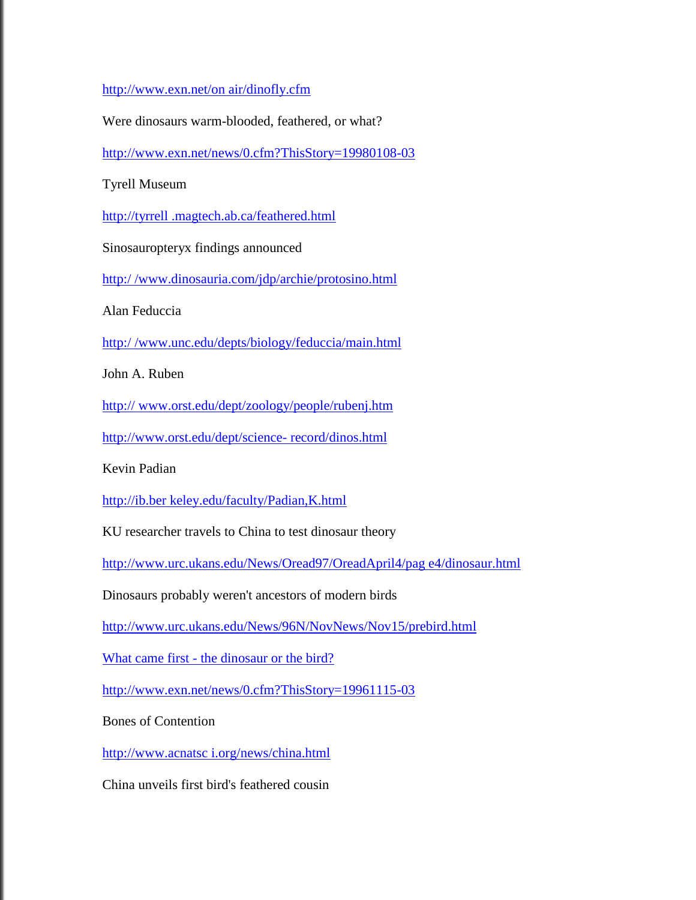[http://www.exn.net/on air/dinofly.cfm](http://www.exn.net/onair/dinofly.cfm)

Were dinosaurs warm-blooded, feathered, or what?

<http://www.exn.net/news/0.cfm?ThisStory=19980108-03>

Tyrell Museum

[http://tyrrell .magtech.ab.ca/feathered.html](http://tyrrell.magtech.ab.ca/feathered.html)

Sinosauropteryx findings announced

[http:/ /www.dinosauria.com/jdp/archie/protosino.html](http://www.dinosauria.com/jdp/archie/protosino.html)

Alan Feduccia

[http:/ /www.unc.edu/depts/biology/feduccia/main.html](http://www.unc.edu/depts/biology/feduccia/main.html)

John A. Ruben

http:// [www.orst.edu/dept/zoology/people/rubenj.htm](http://www.orst.edu/dept/zoology/people/rubenj.htm)

[http://www.orst.edu/dept/science-](http://www.orst.edu/dept/science-record/dinos.html) record/dinos.html

Kevin Padian

[http://ib.ber keley.edu/faculty/Padian,K.html](http://ib.berkeley.edu/faculty/Padian,K.html)

KU researcher travels to China to test dinosaur theory

[http://www.urc.ukans.edu/News/Oread97/OreadApril4/pag e4/dinosaur.html](http://www.urc.ukans.edu/News/Oread97/OreadApril4/page4/dinosaur.html)

Dinosaurs probably weren't ancestors of modern birds

<http://www.urc.ukans.edu/News/96N/NovNews/Nov15/prebird.html>

What came first - [the dinosaur or the bird?](http://www.urc.ukans.edu/News/96N/NovNews/Nov15/prebird.html) 

<http://www.exn.net/news/0.cfm?ThisStory=19961115-03>

Bones of Contention

[http://www.acnatsc i.org/news/china.html](http://www.acnatsci.org/news/china.html)

China unveils first bird's feathered cousin